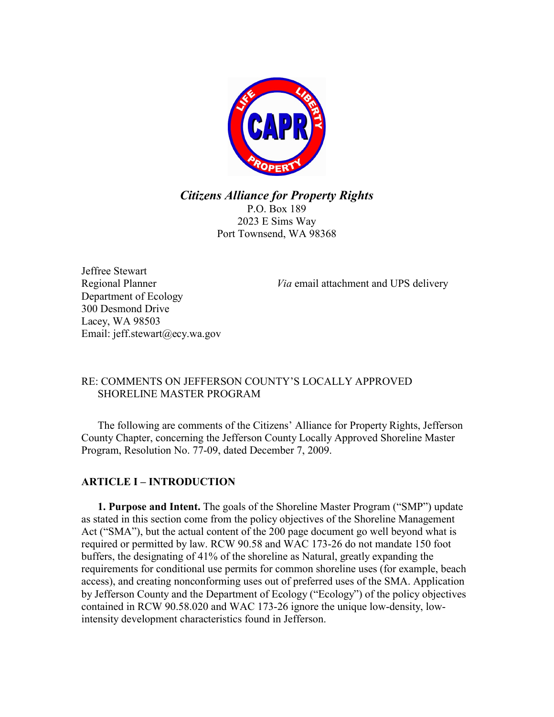

*Citizens Alliance for Property Rights*

P.O. Box 189 2023 E Sims Way Port Townsend, WA 98368

Jeffree Stewart Department of Ecology 300 Desmond Drive Lacey, WA 98503 Email: jeff.stewart@ecy.wa.gov

Regional Planner *Via* email attachment and UPS delivery

## RE: COMMENTS ON JEFFERSON COUNTY'S LOCALLY APPROVED SHORELINE MASTER PROGRAM

The following are comments of the Citizens' Alliance for Property Rights, Jefferson County Chapter, concerning the Jefferson County Locally Approved Shoreline Master Program, Resolution No. 77-09, dated December 7, 2009.

# **ARTICLE I – INTRODUCTION**

**1. Purpose and Intent.** The goals of the Shoreline Master Program ("SMP") update as stated in this section come from the policy objectives of the Shoreline Management Act ("SMA"), but the actual content of the 200 page document go well beyond what is required or permitted by law. RCW 90.58 and WAC 173-26 do not mandate 150 foot buffers, the designating of 41% of the shoreline as Natural, greatly expanding the requirements for conditional use permits for common shoreline uses (for example, beach access), and creating nonconforming uses out of preferred uses of the SMA. Application by Jefferson County and the Department of Ecology ("Ecology") of the policy objectives contained in RCW 90.58.020 and WAC 173-26 ignore the unique low-density, lowintensity development characteristics found in Jefferson.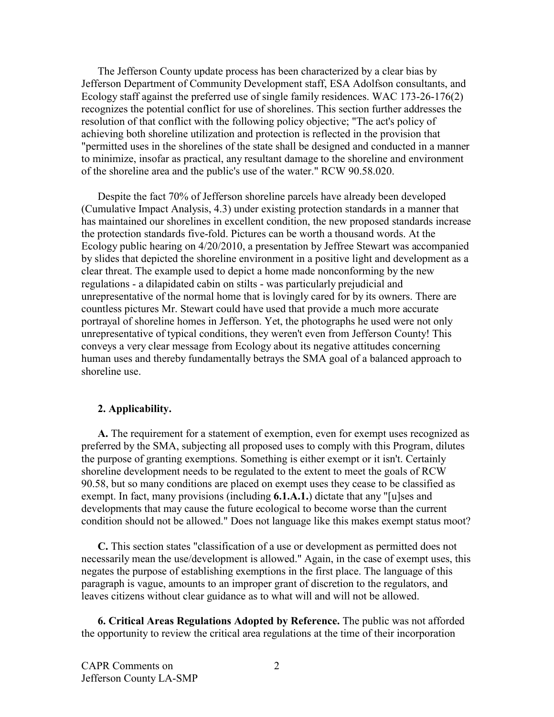The Jefferson County update process has been characterized by a clear bias by Jefferson Department of Community Development staff, ESA Adolfson consultants, and Ecology staff against the preferred use of single family residences. WAC 173-26-176(2) recognizes the potential conflict for use of shorelines. This section further addresses the resolution of that conflict with the following policy objective; "The act's policy of achieving both shoreline utilization and protection is reflected in the provision that "permitted uses in the shorelines of the state shall be designed and conducted in a manner to minimize, insofar as practical, any resultant damage to the shoreline and environment of the shoreline area and the public's use of the water." RCW 90.58.020.

Despite the fact 70% of Jefferson shoreline parcels have already been developed (Cumulative Impact Analysis, 4.3) under existing protection standards in a manner that has maintained our shorelines in excellent condition, the new proposed standards increase the protection standards five-fold. Pictures can be worth a thousand words. At the Ecology public hearing on 4/20/2010, a presentation by Jeffree Stewart was accompanied by slides that depicted the shoreline environment in a positive light and development as a clear threat. The example used to depict a home made nonconforming by the new regulations - a dilapidated cabin on stilts - was particularly prejudicial and unrepresentative of the normal home that is lovingly cared for by its owners. There are countless pictures Mr. Stewart could have used that provide a much more accurate portrayal of shoreline homes in Jefferson. Yet, the photographs he used were not only unrepresentative of typical conditions, they weren't even from Jefferson County! This conveys a very clear message from Ecology about its negative attitudes concerning human uses and thereby fundamentally betrays the SMA goal of a balanced approach to shoreline use.

#### **2. Applicability.**

**A.** The requirement for a statement of exemption, even for exempt uses recognized as preferred by the SMA, subjecting all proposed uses to comply with this Program, dilutes the purpose of granting exemptions. Something is either exempt or it isn't. Certainly shoreline development needs to be regulated to the extent to meet the goals of RCW 90.58, but so many conditions are placed on exempt uses they cease to be classified as exempt. In fact, many provisions (including **6.1.A.1.**) dictate that any "[u]ses and developments that may cause the future ecological to become worse than the current condition should not be allowed." Does not language like this makes exempt status moot?

**C.** This section states "classification of a use or development as permitted does not necessarily mean the use/development is allowed." Again, in the case of exempt uses, this negates the purpose of establishing exemptions in the first place. The language of this paragraph is vague, amounts to an improper grant of discretion to the regulators, and leaves citizens without clear guidance as to what will and will not be allowed.

**6. Critical Areas Regulations Adopted by Reference.** The public was not afforded the opportunity to review the critical area regulations at the time of their incorporation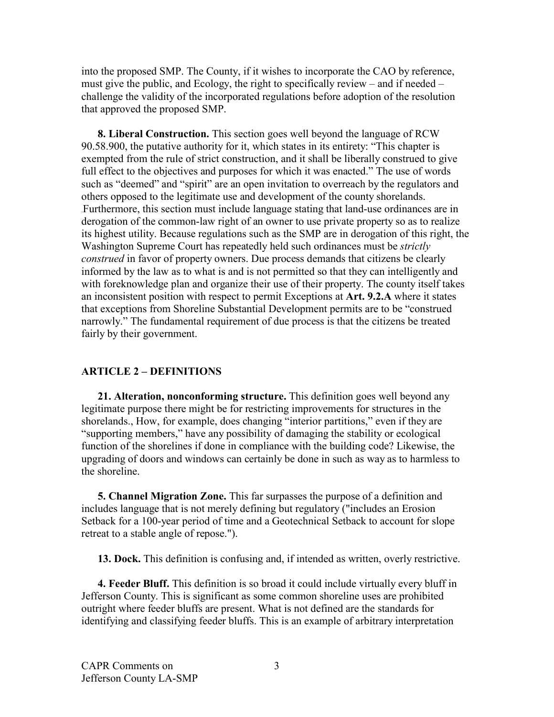into the proposed SMP. The County, if it wishes to incorporate the CAO by reference, must give the public, and Ecology, the right to specifically review – and if needed – challenge the validity of the incorporated regulations before adoption of the resolution that approved the proposed SMP.

**8. Liberal Construction.** This section goes well beyond the language of RCW 90.58.900, the putative authority for it, which states in its entirety: "This chapter is exempted from the rule of strict construction, and it shall be liberally construed to give full effect to the objectives and purposes for which it was enacted." The use of words such as "deemed" and "spirit" are an open invitation to overreach by the regulators and others opposed to the legitimate use and development of the county shorelands. .Furthermore, this section must include language stating that land-use ordinances are in derogation of the common-law right of an owner to use private property so as to realize its highest utility. Because regulations such as the SMP are in derogation of this right, the Washington Supreme Court has repeatedly held such ordinances must be *strictly construed* in favor of property owners. Due process demands that citizens be clearly informed by the law as to what is and is not permitted so that they can intelligently and with foreknowledge plan and organize their use of their property. The county itself takes an inconsistent position with respect to permit Exceptions at **Art. 9.2.A** where it states that exceptions from Shoreline Substantial Development permits are to be "construed narrowly." The fundamental requirement of due process is that the citizens be treated fairly by their government.

### **ARTICLE 2 – DEFINITIONS**

**21. Alteration, nonconforming structure.** This definition goes well beyond any legitimate purpose there might be for restricting improvements for structures in the shorelands., How, for example, does changing "interior partitions," even if they are "supporting members," have any possibility of damaging the stability or ecological function of the shorelines if done in compliance with the building code? Likewise, the upgrading of doors and windows can certainly be done in such as way as to harmless to the shoreline.

**5. Channel Migration Zone.** This far surpasses the purpose of a definition and includes language that is not merely defining but regulatory ("includes an Erosion Setback for a 100-year period of time and a Geotechnical Setback to account for slope retreat to a stable angle of repose.").

**13. Dock.** This definition is confusing and, if intended as written, overly restrictive.

**4. Feeder Bluff.** This definition is so broad it could include virtually every bluff in Jefferson County. This is significant as some common shoreline uses are prohibited outright where feeder bluffs are present. What is not defined are the standards for identifying and classifying feeder bluffs. This is an example of arbitrary interpretation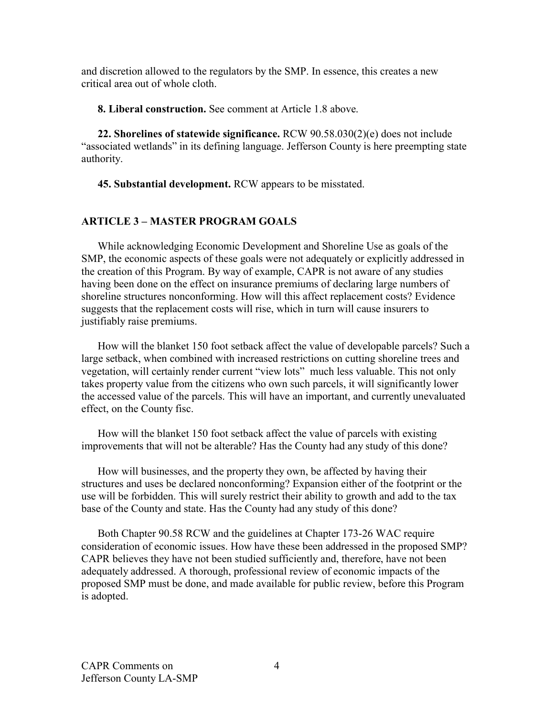and discretion allowed to the regulators by the SMP. In essence, this creates a new critical area out of whole cloth.

**8. Liberal construction.** See comment at Article 1.8 above.

**22. Shorelines of statewide significance.** RCW 90.58.030(2)(e) does not include "associated wetlands" in its defining language. Jefferson County is here preempting state authority.

**45. Substantial development.** RCW appears to be misstated.

# **ARTICLE 3 – MASTER PROGRAM GOALS**

While acknowledging Economic Development and Shoreline Use as goals of the SMP, the economic aspects of these goals were not adequately or explicitly addressed in the creation of this Program. By way of example, CAPR is not aware of any studies having been done on the effect on insurance premiums of declaring large numbers of shoreline structures nonconforming. How will this affect replacement costs? Evidence suggests that the replacement costs will rise, which in turn will cause insurers to justifiably raise premiums.

How will the blanket 150 foot setback affect the value of developable parcels? Such a large setback, when combined with increased restrictions on cutting shoreline trees and vegetation, will certainly render current "view lots" much less valuable. This not only takes property value from the citizens who own such parcels, it will significantly lower the accessed value of the parcels. This will have an important, and currently unevaluated effect, on the County fisc.

How will the blanket 150 foot setback affect the value of parcels with existing improvements that will not be alterable? Has the County had any study of this done?

How will businesses, and the property they own, be affected by having their structures and uses be declared nonconforming? Expansion either of the footprint or the use will be forbidden. This will surely restrict their ability to growth and add to the tax base of the County and state. Has the County had any study of this done?

Both Chapter 90.58 RCW and the guidelines at Chapter 173-26 WAC require consideration of economic issues. How have these been addressed in the proposed SMP? CAPR believes they have not been studied sufficiently and, therefore, have not been adequately addressed. A thorough, professional review of economic impacts of the proposed SMP must be done, and made available for public review, before this Program is adopted.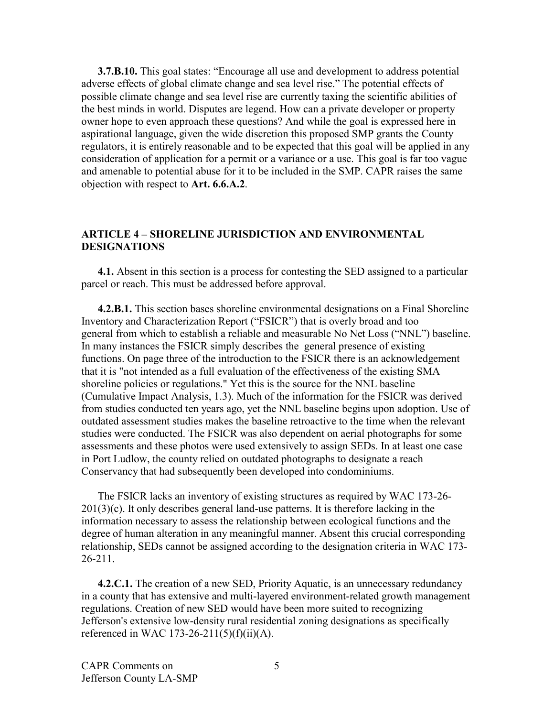**3.7.B.10.** This goal states: "Encourage all use and development to address potential adverse effects of global climate change and sea level rise." The potential effects of possible climate change and sea level rise are currently taxing the scientific abilities of the best minds in world. Disputes are legend. How can a private developer or property owner hope to even approach these questions? And while the goal is expressed here in aspirational language, given the wide discretion this proposed SMP grants the County regulators, it is entirely reasonable and to be expected that this goal will be applied in any consideration of application for a permit or a variance or a use. This goal is far too vague and amenable to potential abuse for it to be included in the SMP. CAPR raises the same objection with respect to **Art. 6.6.A.2**.

#### **ARTICLE 4 – SHORELINE JURISDICTION AND ENVIRONMENTAL DESIGNATIONS**

**4.1.** Absent in this section is a process for contesting the SED assigned to a particular parcel or reach. This must be addressed before approval.

**4.2.B.1.** This section bases shoreline environmental designations on a Final Shoreline Inventory and Characterization Report ("FSICR") that is overly broad and too general from which to establish a reliable and measurable No Net Loss ("NNL") baseline. In many instances the FSICR simply describes the general presence of existing functions. On page three of the introduction to the FSICR there is an acknowledgement that it is "not intended as a full evaluation of the effectiveness of the existing SMA shoreline policies or regulations." Yet this is the source for the NNL baseline (Cumulative Impact Analysis, 1.3). Much of the information for the FSICR was derived from studies conducted ten years ago, yet the NNL baseline begins upon adoption. Use of outdated assessment studies makes the baseline retroactive to the time when the relevant studies were conducted. The FSICR was also dependent on aerial photographs for some assessments and these photos were used extensively to assign SEDs. In at least one case in Port Ludlow, the county relied on outdated photographs to designate a reach Conservancy that had subsequently been developed into condominiums.

The FSICR lacks an inventory of existing structures as required by WAC 173-26-  $201(3)(c)$ . It only describes general land-use patterns. It is therefore lacking in the information necessary to assess the relationship between ecological functions and the degree of human alteration in any meaningful manner. Absent this crucial corresponding relationship, SEDs cannot be assigned according to the designation criteria in WAC 173- 26-211.

**4.2.C.1.** The creation of a new SED, Priority Aquatic, is an unnecessary redundancy in a county that has extensive and multi-layered environment-related growth management regulations. Creation of new SED would have been more suited to recognizing Jefferson's extensive low-density rural residential zoning designations as specifically referenced in WAC 173-26-211(5)(f)(ii)(A).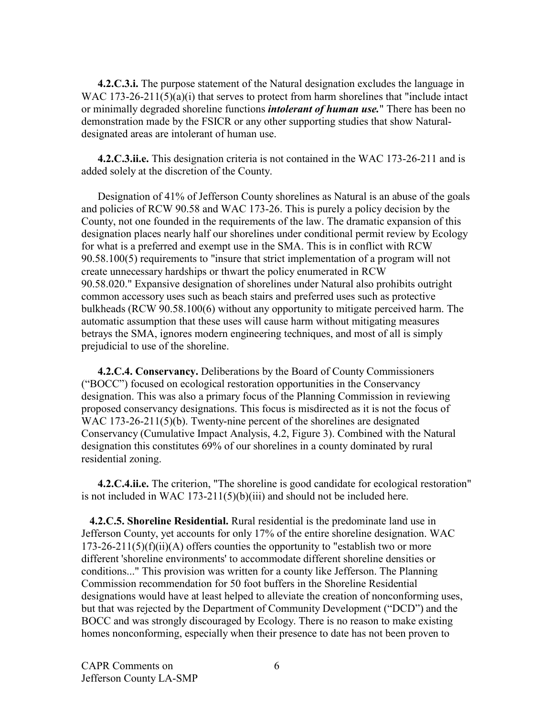**4.2.C.3.i.** The purpose statement of the Natural designation excludes the language in WAC 173-26-211(5)(a)(i) that serves to protect from harm shorelines that "include intact or minimally degraded shoreline functions *intolerant of human use.*" There has been no demonstration made by the FSICR or any other supporting studies that show Naturaldesignated areas are intolerant of human use.

**4.2.C.3.ii.e.** This designation criteria is not contained in the WAC 173-26-211 and is added solely at the discretion of the County.

Designation of 41% of Jefferson County shorelines as Natural is an abuse of the goals and policies of RCW 90.58 and WAC 173-26. This is purely a policy decision by the County, not one founded in the requirements of the law. The dramatic expansion of this designation places nearly half our shorelines under conditional permit review by Ecology for what is a preferred and exempt use in the SMA. This is in conflict with RCW 90.58.100(5) requirements to "insure that strict implementation of a program will not create unnecessary hardships or thwart the policy enumerated in RCW 90.58.020." Expansive designation of shorelines under Natural also prohibits outright common accessory uses such as beach stairs and preferred uses such as protective bulkheads (RCW 90.58.100(6) without any opportunity to mitigate perceived harm. The automatic assumption that these uses will cause harm without mitigating measures betrays the SMA, ignores modern engineering techniques, and most of all is simply prejudicial to use of the shoreline.

**4.2.C.4. Conservancy.** Deliberations by the Board of County Commissioners ("BOCC") focused on ecological restoration opportunities in the Conservancy designation. This was also a primary focus of the Planning Commission in reviewing proposed conservancy designations. This focus is misdirected as it is not the focus of WAC 173-26-211(5)(b). Twenty-nine percent of the shorelines are designated Conservancy (Cumulative Impact Analysis, 4.2, Figure 3). Combined with the Natural designation this constitutes 69% of our shorelines in a county dominated by rural residential zoning.

**4.2.C.4.ii.e.** The criterion, "The shoreline is good candidate for ecological restoration" is not included in WAC 173-211(5)(b)(iii) and should not be included here.

**4.2.C.5. Shoreline Residential.** Rural residential is the predominate land use in Jefferson County, yet accounts for only 17% of the entire shoreline designation. WAC  $173-26-211(5)(f)(ii)(A)$  offers counties the opportunity to "establish two or more different 'shoreline environments' to accommodate different shoreline densities or conditions..." This provision was written for a county like Jefferson. The Planning Commission recommendation for 50 foot buffers in the Shoreline Residential designations would have at least helped to alleviate the creation of nonconforming uses, but that was rejected by the Department of Community Development ("DCD") and the BOCC and was strongly discouraged by Ecology. There is no reason to make existing homes nonconforming, especially when their presence to date has not been proven to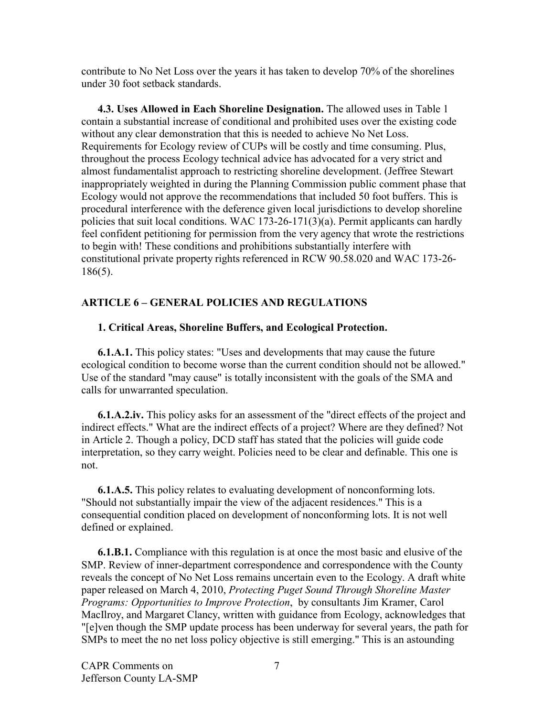contribute to No Net Loss over the years it has taken to develop 70% of the shorelines under 30 foot setback standards.

**4.3. Uses Allowed in Each Shoreline Designation.** The allowed uses in Table 1 contain a substantial increase of conditional and prohibited uses over the existing code without any clear demonstration that this is needed to achieve No Net Loss. Requirements for Ecology review of CUPs will be costly and time consuming. Plus, throughout the process Ecology technical advice has advocated for a very strict and almost fundamentalist approach to restricting shoreline development. (Jeffree Stewart inappropriately weighted in during the Planning Commission public comment phase that Ecology would not approve the recommendations that included 50 foot buffers. This is procedural interference with the deference given local jurisdictions to develop shoreline policies that suit local conditions. WAC 173-26-171(3)(a). Permit applicants can hardly feel confident petitioning for permission from the very agency that wrote the restrictions to begin with! These conditions and prohibitions substantially interfere with constitutional private property rights referenced in RCW 90.58.020 and WAC 173-26- 186(5).

### **ARTICLE 6 – GENERAL POLICIES AND REGULATIONS**

#### **1. Critical Areas, Shoreline Buffers, and Ecological Protection.**

**6.1.A.1.** This policy states: "Uses and developments that may cause the future ecological condition to become worse than the current condition should not be allowed." Use of the standard "may cause" is totally inconsistent with the goals of the SMA and calls for unwarranted speculation.

**6.1.A.2.iv.** This policy asks for an assessment of the "direct effects of the project and indirect effects." What are the indirect effects of a project? Where are they defined? Not in Article 2. Though a policy, DCD staff has stated that the policies will guide code interpretation, so they carry weight. Policies need to be clear and definable. This one is not.

**6.1.A.5.** This policy relates to evaluating development of nonconforming lots. "Should not substantially impair the view of the adjacent residences." This is a consequential condition placed on development of nonconforming lots. It is not well defined or explained.

**6.1.B.1.** Compliance with this regulation is at once the most basic and elusive of the SMP. Review of inner-department correspondence and correspondence with the County reveals the concept of No Net Loss remains uncertain even to the Ecology. A draft white paper released on March 4, 2010, *Protecting Puget Sound Through Shoreline Master Programs: Opportunities to Improve Protection*, by consultants Jim Kramer, Carol MacIlroy, and Margaret Clancy, written with guidance from Ecology, acknowledges that "[e]ven though the SMP update process has been underway for several years, the path for SMPs to meet the no net loss policy objective is still emerging." This is an astounding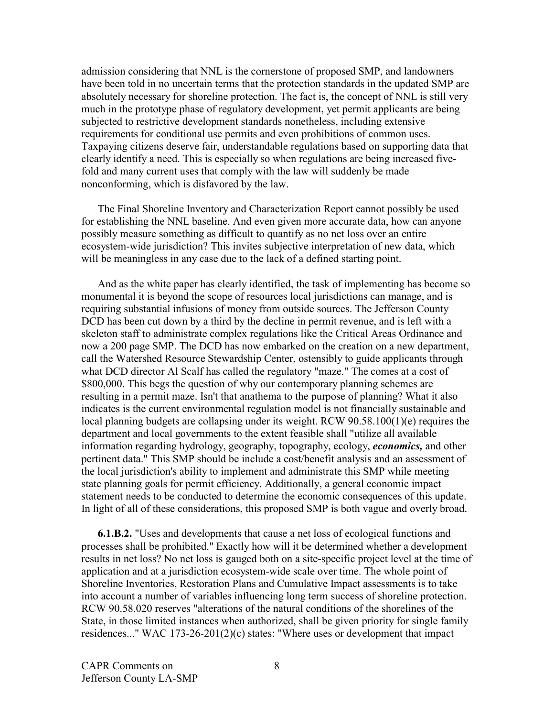admission considering that NNL is the cornerstone of proposed SMP, and landowners have been told in no uncertain terms that the protection standards in the updated SMP are absolutely necessary for shoreline protection. The fact is, the concept of NNL is still very much in the prototype phase of regulatory development, yet permit applicants are being subjected to restrictive development standards nonetheless, including extensive requirements for conditional use permits and even prohibitions of common uses. Taxpaying citizens deserve fair, understandable regulations based on supporting data that clearly identify a need. This is especially so when regulations are being increased fivefold and many current uses that comply with the law will suddenly be made nonconforming, which is disfavored by the law.

The Final Shoreline Inventory and Characterization Report cannot possibly be used for establishing the NNL baseline. And even given more accurate data, how can anyone possibly measure something as difficult to quantify as no net loss over an entire ecosystem-wide jurisdiction? This invites subjective interpretation of new data, which will be meaningless in any case due to the lack of a defined starting point.

And as the white paper has clearly identified, the task of implementing has become so monumental it is beyond the scope of resources local jurisdictions can manage, and is requiring substantial infusions of money from outside sources. The Jefferson County DCD has been cut down by a third by the decline in permit revenue, and is left with a skeleton staff to administrate complex regulations like the Critical Areas Ordinance and now a 200 page SMP. The DCD has now embarked on the creation on a new department, call the Watershed Resource Stewardship Center, ostensibly to guide applicants through what DCD director Al Scalf has called the regulatory "maze." The comes at a cost of \$800,000. This begs the question of why our contemporary planning schemes are resulting in a permit maze. Isn't that anathema to the purpose of planning? What it also indicates is the current environmental regulation model is not financially sustainable and local planning budgets are collapsing under its weight. RCW 90.58.100(1)(e) requires the department and local governments to the extent feasible shall "utilize all available information regarding hydrology, geography, topography, ecology, *economics,* and other pertinent data." This SMP should be include a cost/benefit analysis and an assessment of the local jurisdiction's ability to implement and administrate this SMP while meeting state planning goals for permit efficiency. Additionally, a general economic impact statement needs to be conducted to determine the economic consequences of this update. In light of all of these considerations, this proposed SMP is both vague and overly broad.

**6.1.B.2.** "Uses and developments that cause a net loss of ecological functions and processes shall be prohibited." Exactly how will it be determined whether a development results in net loss? No net loss is gauged both on a site-specific project level at the time of application and at a jurisdiction ecosystem-wide scale over time. The whole point of Shoreline Inventories, Restoration Plans and Cumulative Impact assessments is to take into account a number of variables influencing long term success of shoreline protection. RCW 90.58.020 reserves "alterations of the natural conditions of the shorelines of the State, in those limited instances when authorized, shall be given priority for single family residences..." WAC 173-26-201(2)(c) states: "Where uses or development that impact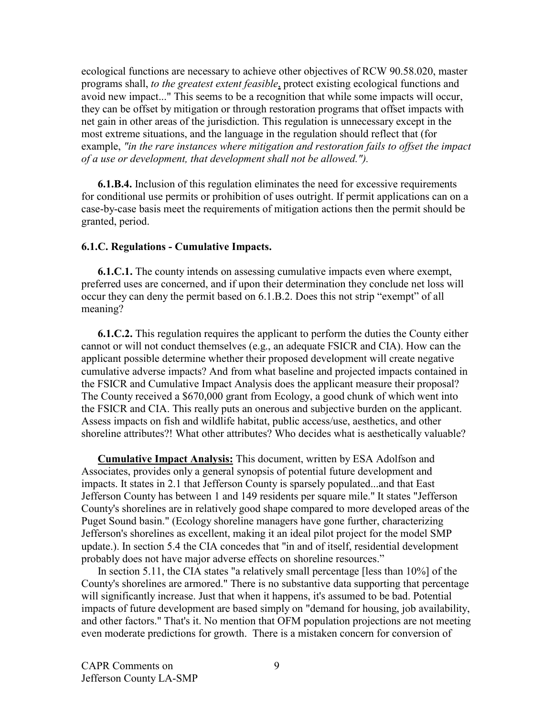ecological functions are necessary to achieve other objectives of RCW 90.58.020, master programs shall, *to the greatest extent feasible*, protect existing ecological functions and avoid new impact..." This seems to be a recognition that while some impacts will occur, they can be offset by mitigation or through restoration programs that offset impacts with net gain in other areas of the jurisdiction. This regulation is unnecessary except in the most extreme situations, and the language in the regulation should reflect that (for example, *"in the rare instances where mitigation and restoration fails to offset the impact of a use or development, that development shall not be allowed.").*

**6.1.B.4.** Inclusion of this regulation eliminates the need for excessive requirements for conditional use permits or prohibition of uses outright. If permit applications can on a case-by-case basis meet the requirements of mitigation actions then the permit should be granted, period.

#### **6.1.C. Regulations - Cumulative Impacts.**

**6.1.C.1.** The county intends on assessing cumulative impacts even where exempt, preferred uses are concerned, and if upon their determination they conclude net loss will occur they can deny the permit based on 6.1.B.2. Does this not strip "exempt" of all meaning?

**6.1.C.2.** This regulation requires the applicant to perform the duties the County either cannot or will not conduct themselves (e.g., an adequate FSICR and CIA). How can the applicant possible determine whether their proposed development will create negative cumulative adverse impacts? And from what baseline and projected impacts contained in the FSICR and Cumulative Impact Analysis does the applicant measure their proposal? The County received a \$670,000 grant from Ecology, a good chunk of which went into the FSICR and CIA. This really puts an onerous and subjective burden on the applicant. Assess impacts on fish and wildlife habitat, public access/use, aesthetics, and other shoreline attributes?! What other attributes? Who decides what is aesthetically valuable?

**Cumulative Impact Analysis:** This document, written by ESA Adolfson and Associates, provides only a general synopsis of potential future development and impacts. It states in 2.1 that Jefferson County is sparsely populated...and that East Jefferson County has between 1 and 149 residents per square mile." It states "Jefferson County's shorelines are in relatively good shape compared to more developed areas of the Puget Sound basin." (Ecology shoreline managers have gone further, characterizing Jefferson's shorelines as excellent, making it an ideal pilot project for the model SMP update.). In section 5.4 the CIA concedes that "in and of itself, residential development probably does not have major adverse effects on shoreline resources."

In section 5.11, the CIA states "a relatively small percentage [less than 10%] of the County's shorelines are armored." There is no substantive data supporting that percentage will significantly increase. Just that when it happens, it's assumed to be bad. Potential impacts of future development are based simply on "demand for housing, job availability, and other factors." That's it. No mention that OFM population projections are not meeting even moderate predictions for growth. There is a mistaken concern for conversion of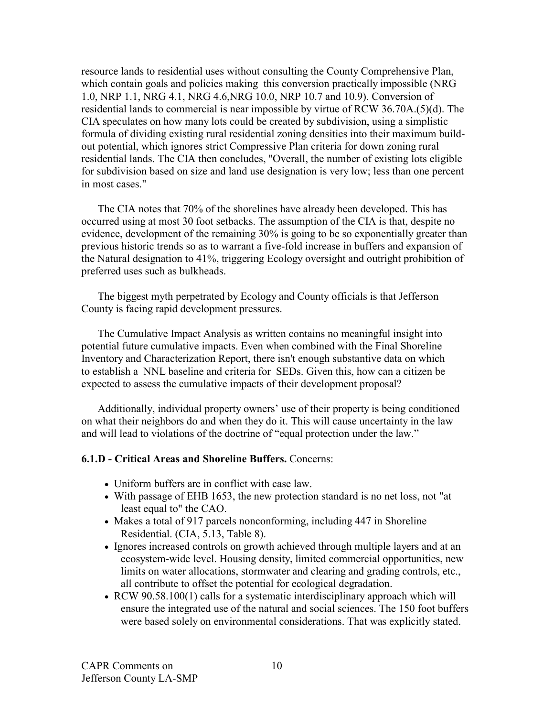resource lands to residential uses without consulting the County Comprehensive Plan, which contain goals and policies making this conversion practically impossible (NRG 1.0, NRP 1.1, NRG 4.1, NRG 4.6,NRG 10.0, NRP 10.7 and 10.9). Conversion of residential lands to commercial is near impossible by virtue of RCW 36.70A.(5)(d). The CIA speculates on how many lots could be created by subdivision, using a simplistic formula of dividing existing rural residential zoning densities into their maximum buildout potential, which ignores strict Compressive Plan criteria for down zoning rural residential lands. The CIA then concludes, "Overall, the number of existing lots eligible for subdivision based on size and land use designation is very low; less than one percent in most cases."

The CIA notes that 70% of the shorelines have already been developed. This has occurred using at most 30 foot setbacks. The assumption of the CIA is that, despite no evidence, development of the remaining 30% is going to be so exponentially greater than previous historic trends so as to warrant a five-fold increase in buffers and expansion of the Natural designation to 41%, triggering Ecology oversight and outright prohibition of preferred uses such as bulkheads.

The biggest myth perpetrated by Ecology and County officials is that Jefferson County is facing rapid development pressures.

The Cumulative Impact Analysis as written contains no meaningful insight into potential future cumulative impacts. Even when combined with the Final Shoreline Inventory and Characterization Report, there isn't enough substantive data on which to establish a NNL baseline and criteria for SEDs. Given this, how can a citizen be expected to assess the cumulative impacts of their development proposal?

Additionally, individual property owners' use of their property is being conditioned on what their neighbors do and when they do it. This will cause uncertainty in the law and will lead to violations of the doctrine of "equal protection under the law."

#### **6.1.D - Critical Areas and Shoreline Buffers.** Concerns:

- Uniform buffers are in conflict with case law.
- With passage of EHB 1653, the new protection standard is no net loss, not "at least equal to" the CAO.
- Makes a total of 917 parcels nonconforming, including 447 in Shoreline Residential. (CIA, 5.13, Table 8).
- Ignores increased controls on growth achieved through multiple layers and at an ecosystem-wide level. Housing density, limited commercial opportunities, new limits on water allocations, stormwater and clearing and grading controls, etc., all contribute to offset the potential for ecological degradation.
- RCW 90.58.100(1) calls for a systematic interdisciplinary approach which will ensure the integrated use of the natural and social sciences. The 150 foot buffers were based solely on environmental considerations. That was explicitly stated.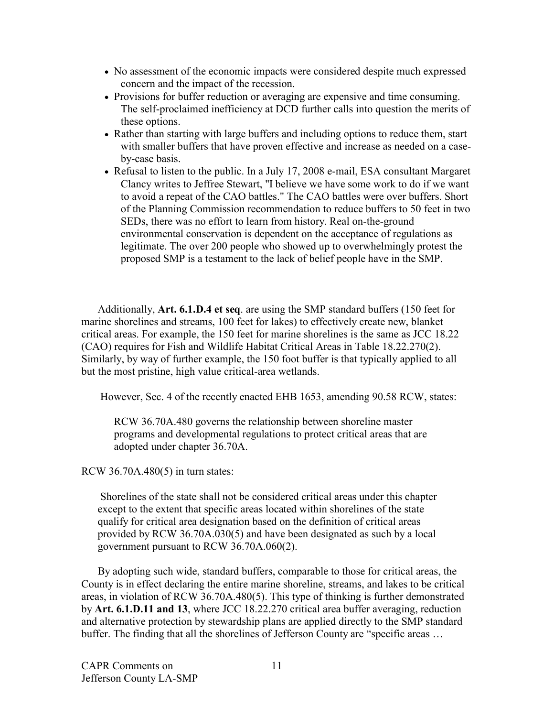- No assessment of the economic impacts were considered despite much expressed concern and the impact of the recession.
- Provisions for buffer reduction or averaging are expensive and time consuming. The self-proclaimed inefficiency at DCD further calls into question the merits of these options.
- Rather than starting with large buffers and including options to reduce them, start with smaller buffers that have proven effective and increase as needed on a caseby-case basis.
- Refusal to listen to the public. In a July 17, 2008 e-mail, ESA consultant Margaret Clancy writes to Jeffree Stewart, "I believe we have some work to do if we want to avoid a repeat of the CAO battles." The CAO battles were over buffers. Short of the Planning Commission recommendation to reduce buffers to 50 feet in two SEDs, there was no effort to learn from history. Real on-the-ground environmental conservation is dependent on the acceptance of regulations as legitimate. The over 200 people who showed up to overwhelmingly protest the proposed SMP is a testament to the lack of belief people have in the SMP.

Additionally, **Art. 6.1.D.4 et seq**. are using the SMP standard buffers (150 feet for marine shorelines and streams, 100 feet for lakes) to effectively create new, blanket critical areas. For example, the 150 feet for marine shorelines is the same as JCC 18.22 (CAO) requires for Fish and Wildlife Habitat Critical Areas in Table 18.22.270(2). Similarly, by way of further example, the 150 foot buffer is that typically applied to all but the most pristine, high value critical-area wetlands.

However, Sec. 4 of the recently enacted EHB 1653, amending 90.58 RCW, states:

RCW 36.70A.480 governs the relationship between shoreline master programs and developmental regulations to protect critical areas that are adopted under chapter 36.70A.

RCW 36.70A.480(5) in turn states:

Shorelines of the state shall not be considered critical areas under this chapter except to the extent that specific areas located within shorelines of the state qualify for critical area designation based on the definition of critical areas provided by RCW 36.70A.030(5) and have been designated as such by a local government pursuant to RCW 36.70A.060(2).

By adopting such wide, standard buffers, comparable to those for critical areas, the County is in effect declaring the entire marine shoreline, streams, and lakes to be critical areas, in violation of RCW 36.70A.480(5). This type of thinking is further demonstrated by **Art. 6.1.D.11 and 13**, where JCC 18.22.270 critical area buffer averaging, reduction and alternative protection by stewardship plans are applied directly to the SMP standard buffer. The finding that all the shorelines of Jefferson County are "specific areas …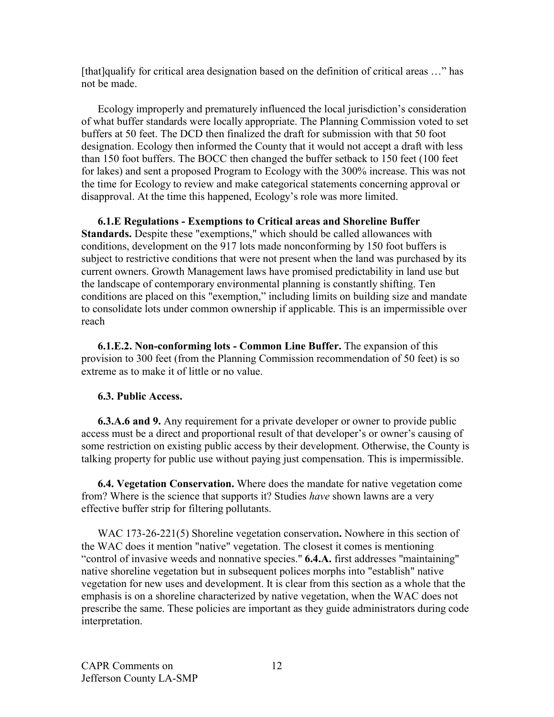[that]qualify for critical area designation based on the definition of critical areas …" has not be made.

Ecology improperly and prematurely influenced the local jurisdiction's consideration of what buffer standards were locally appropriate. The Planning Commission voted to set buffers at 50 feet. The DCD then finalized the draft for submission with that 50 foot designation. Ecology then informed the County that it would not accept a draft with less than 150 foot buffers. The BOCC then changed the buffer setback to 150 feet (100 feet for lakes) and sent a proposed Program to Ecology with the 300% increase. This was not the time for Ecology to review and make categorical statements concerning approval or disapproval. At the time this happened, Ecology's role was more limited.

**6.1.E Regulations - Exemptions to Critical areas and Shoreline Buffer Standards.** Despite these "exemptions," which should be called allowances with conditions, development on the 917 lots made nonconforming by 150 foot buffers is subject to restrictive conditions that were not present when the land was purchased by its current owners. Growth Management laws have promised predictability in land use but the landscape of contemporary environmental planning is constantly shifting. Ten conditions are placed on this "exemption," including limits on building size and mandate to consolidate lots under common ownership if applicable. This is an impermissible over reach

**6.1.E.2. Non-conforming lots - Common Line Buffer.** The expansion of this provision to 300 feet (from the Planning Commission recommendation of 50 feet) is so extreme as to make it of little or no value.

### **6.3. Public Access.**

**6.3.A.6 and 9.** Any requirement for a private developer or owner to provide public access must be a direct and proportional result of that developer's or owner's causing of some restriction on existing public access by their development. Otherwise, the County is talking property for public use without paying just compensation. This is impermissible.

**6.4. Vegetation Conservation.** Where does the mandate for native vegetation come from? Where is the science that supports it? Studies *have* shown lawns are a very effective buffer strip for filtering pollutants.

WAC 173-26-221(5) Shoreline vegetation conservation**.** Nowhere in this section of the WAC does it mention "native" vegetation. The closest it comes is mentioning "control of invasive weeds and nonnative species." **6.4.A.** first addresses "maintaining" native shoreline vegetation but in subsequent polices morphs into "establish" native vegetation for new uses and development. It is clear from this section as a whole that the emphasis is on a shoreline characterized by native vegetation, when the WAC does not prescribe the same. These policies are important as they guide administrators during code interpretation.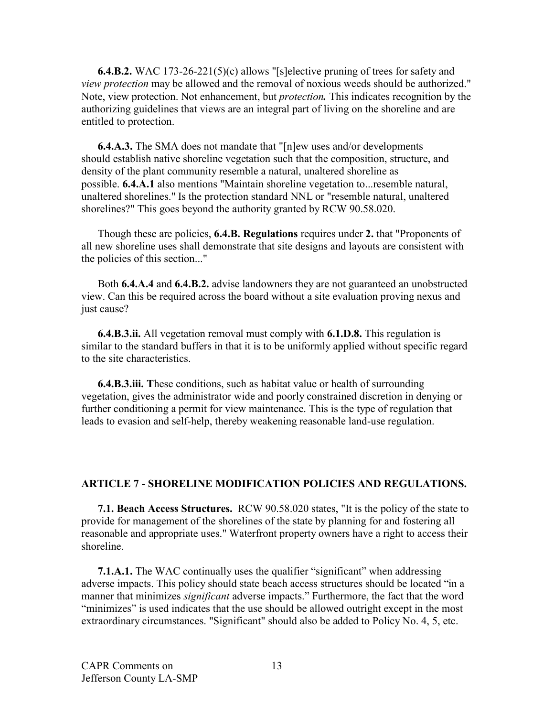**6.4.B.2.** WAC 173-26-221(5)(c) allows "[s]elective pruning of trees for safety and *view protection* may be allowed and the removal of noxious weeds should be authorized." Note, view protection. Not enhancement, but *protection.* This indicates recognition by the authorizing guidelines that views are an integral part of living on the shoreline and are entitled to protection.

**6.4.A.3.** The SMA does not mandate that "[n]ew uses and/or developments should establish native shoreline vegetation such that the composition, structure, and density of the plant community resemble a natural, unaltered shoreline as possible. **6.4.A.1** also mentions "Maintain shoreline vegetation to...resemble natural, unaltered shorelines." Is the protection standard NNL or "resemble natural, unaltered shorelines?" This goes beyond the authority granted by RCW 90.58.020.

Though these are policies, **6.4.B. Regulations** requires under **2.** that "Proponents of all new shoreline uses shall demonstrate that site designs and layouts are consistent with the policies of this section..."

Both **6.4.A.4** and **6.4.B.2.** advise landowners they are not guaranteed an unobstructed view. Can this be required across the board without a site evaluation proving nexus and just cause?

**6.4.B.3.ii.** All vegetation removal must comply with **6.1.D.8.** This regulation is similar to the standard buffers in that it is to be uniformly applied without specific regard to the site characteristics.

**6.4.B.3.iii. T**hese conditions, such as habitat value or health of surrounding vegetation, gives the administrator wide and poorly constrained discretion in denying or further conditioning a permit for view maintenance. This is the type of regulation that leads to evasion and self-help, thereby weakening reasonable land-use regulation.

### **ARTICLE 7 - SHORELINE MODIFICATION POLICIES AND REGULATIONS.**

**7.1. Beach Access Structures.** RCW 90.58.020 states, "It is the policy of the state to provide for management of the shorelines of the state by planning for and fostering all reasonable and appropriate uses." Waterfront property owners have a right to access their shoreline.

**7.1.A.1.** The WAC continually uses the qualifier "significant" when addressing adverse impacts. This policy should state beach access structures should be located "in a manner that minimizes *significant* adverse impacts." Furthermore, the fact that the word "minimizes" is used indicates that the use should be allowed outright except in the most extraordinary circumstances. "Significant" should also be added to Policy No. 4, 5, etc.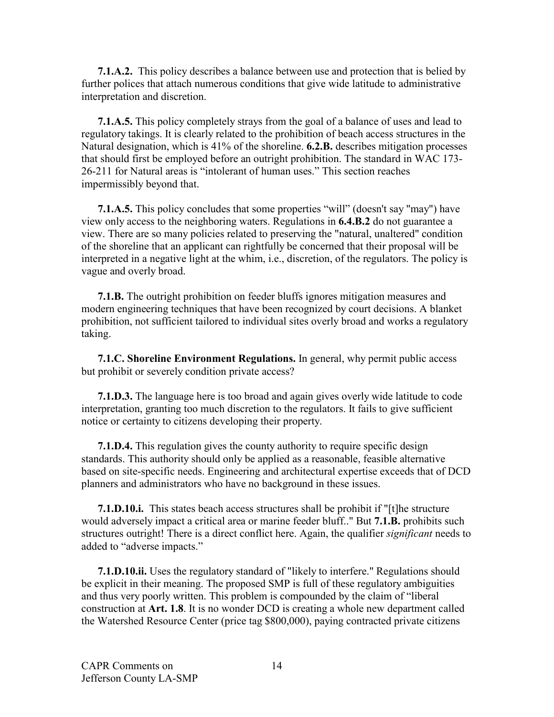**7.1.A.2.** This policy describes a balance between use and protection that is belied by further polices that attach numerous conditions that give wide latitude to administrative interpretation and discretion.

**7.1.A.5.** This policy completely strays from the goal of a balance of uses and lead to regulatory takings. It is clearly related to the prohibition of beach access structures in the Natural designation, which is 41% of the shoreline. **6.2.B.** describes mitigation processes that should first be employed before an outright prohibition. The standard in WAC 173- 26-211 for Natural areas is "intolerant of human uses." This section reaches impermissibly beyond that.

**7.1.A.5.** This policy concludes that some properties "will" (doesn't say "may") have view only access to the neighboring waters. Regulations in **6.4.B.2** do not guarantee a view. There are so many policies related to preserving the "natural, unaltered" condition of the shoreline that an applicant can rightfully be concerned that their proposal will be interpreted in a negative light at the whim, i.e., discretion, of the regulators. The policy is vague and overly broad.

**7.1.B.** The outright prohibition on feeder bluffs ignores mitigation measures and modern engineering techniques that have been recognized by court decisions. A blanket prohibition, not sufficient tailored to individual sites overly broad and works a regulatory taking.

**7.1.C. Shoreline Environment Regulations.** In general, why permit public access but prohibit or severely condition private access?

**7.1.D.3.** The language here is too broad and again gives overly wide latitude to code interpretation, granting too much discretion to the regulators. It fails to give sufficient notice or certainty to citizens developing their property.

**7.1.D.4.** This regulation gives the county authority to require specific design standards. This authority should only be applied as a reasonable, feasible alternative based on site-specific needs. Engineering and architectural expertise exceeds that of DCD planners and administrators who have no background in these issues.

**7.1.D.10.i.** This states beach access structures shall be prohibit if "[t]he structure would adversely impact a critical area or marine feeder bluff.." But **7.1.B.** prohibits such structures outright! There is a direct conflict here. Again, the qualifier *significant* needs to added to "adverse impacts."

**7.1.D.10.ii.** Uses the regulatory standard of "likely to interfere." Regulations should be explicit in their meaning. The proposed SMP is full of these regulatory ambiguities and thus very poorly written. This problem is compounded by the claim of "liberal construction at **Art. 1.8**. It is no wonder DCD is creating a whole new department called the Watershed Resource Center (price tag \$800,000), paying contracted private citizens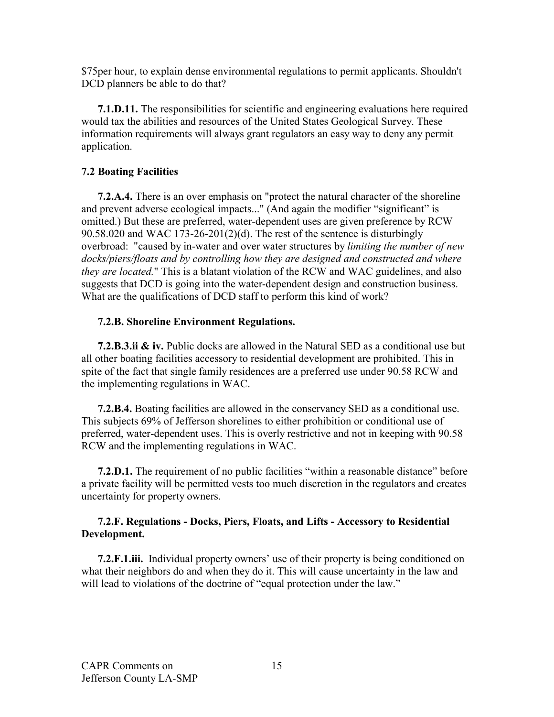\$75per hour, to explain dense environmental regulations to permit applicants. Shouldn't DCD planners be able to do that?

**7.1.D.11.** The responsibilities for scientific and engineering evaluations here required would tax the abilities and resources of the United States Geological Survey. These information requirements will always grant regulators an easy way to deny any permit application.

## **7.2 Boating Facilities**

**7.2.A.4.** There is an over emphasis on "protect the natural character of the shoreline and prevent adverse ecological impacts..." (And again the modifier "significant" is omitted.) But these are preferred, water-dependent uses are given preference by RCW 90.58.020 and WAC 173-26-201(2)(d). The rest of the sentence is disturbingly overbroad: "caused by in-water and over water structures by *limiting the number of new docks/piers/floats and by controlling how they are designed and constructed and where they are located.*" This is a blatant violation of the RCW and WAC guidelines, and also suggests that DCD is going into the water-dependent design and construction business. What are the qualifications of DCD staff to perform this kind of work?

## **7.2.B. Shoreline Environment Regulations.**

**7.2.B.3.ii & iv.** Public docks are allowed in the Natural SED as a conditional use but all other boating facilities accessory to residential development are prohibited. This in spite of the fact that single family residences are a preferred use under 90.58 RCW and the implementing regulations in WAC.

**7.2.B.4.** Boating facilities are allowed in the conservancy SED as a conditional use. This subjects 69% of Jefferson shorelines to either prohibition or conditional use of preferred, water-dependent uses. This is overly restrictive and not in keeping with 90.58 RCW and the implementing regulations in WAC.

**7.2.D.1.** The requirement of no public facilities "within a reasonable distance" before a private facility will be permitted vests too much discretion in the regulators and creates uncertainty for property owners.

### **7.2.F. Regulations - Docks, Piers, Floats, and Lifts - Accessory to Residential Development.**

**7.2.F.1.iii.** Individual property owners' use of their property is being conditioned on what their neighbors do and when they do it. This will cause uncertainty in the law and will lead to violations of the doctrine of "equal protection under the law."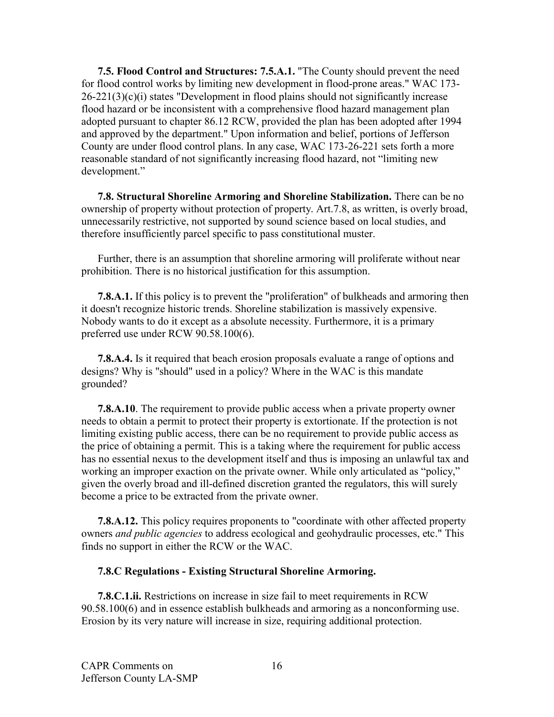**7.5. Flood Control and Structures: 7.5.A.1.** "The County should prevent the need for flood control works by limiting new development in flood-prone areas." WAC 173-  $26-221(3)(c)(i)$  states "Development in flood plains should not significantly increase flood hazard or be inconsistent with a comprehensive flood hazard management plan adopted pursuant to chapter 86.12 RCW, provided the plan has been adopted after 1994 and approved by the department." Upon information and belief, portions of Jefferson County are under flood control plans. In any case, WAC 173-26-221 sets forth a more reasonable standard of not significantly increasing flood hazard, not "limiting new development."

**7.8. Structural Shoreline Armoring and Shoreline Stabilization.** There can be no ownership of property without protection of property. Art.7.8, as written, is overly broad, unnecessarily restrictive, not supported by sound science based on local studies, and therefore insufficiently parcel specific to pass constitutional muster.

Further, there is an assumption that shoreline armoring will proliferate without near prohibition. There is no historical justification for this assumption.

**7.8.A.1.** If this policy is to prevent the "proliferation" of bulkheads and armoring then it doesn't recognize historic trends. Shoreline stabilization is massively expensive. Nobody wants to do it except as a absolute necessity. Furthermore, it is a primary preferred use under RCW 90.58.100(6).

**7.8.A.4.** Is it required that beach erosion proposals evaluate a range of options and designs? Why is "should" used in a policy? Where in the WAC is this mandate grounded?

**7.8.A.10**. The requirement to provide public access when a private property owner needs to obtain a permit to protect their property is extortionate. If the protection is not limiting existing public access, there can be no requirement to provide public access as the price of obtaining a permit. This is a taking where the requirement for public access has no essential nexus to the development itself and thus is imposing an unlawful tax and working an improper exaction on the private owner. While only articulated as "policy," given the overly broad and ill-defined discretion granted the regulators, this will surely become a price to be extracted from the private owner.

**7.8.A.12.** This policy requires proponents to "coordinate with other affected property owners *and public agencies* to address ecological and geohydraulic processes, etc." This finds no support in either the RCW or the WAC.

#### **7.8.C Regulations - Existing Structural Shoreline Armoring.**

**7.8.C.1.ii.** Restrictions on increase in size fail to meet requirements in RCW 90.58.100(6) and in essence establish bulkheads and armoring as a nonconforming use. Erosion by its very nature will increase in size, requiring additional protection.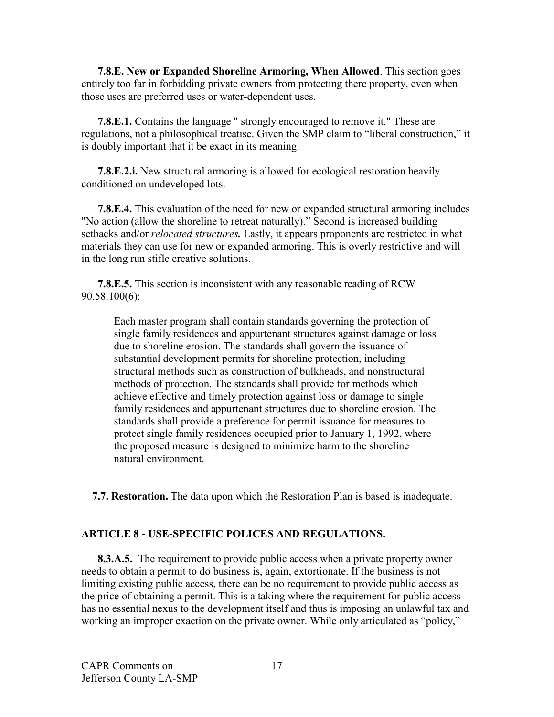**7.8.E. New or Expanded Shoreline Armoring, When Allowed**. This section goes entirely too far in forbidding private owners from protecting there property, even when those uses are preferred uses or water-dependent uses.

**7.8.E.1.** Contains the language " strongly encouraged to remove it." These are regulations, not a philosophical treatise. Given the SMP claim to "liberal construction," it is doubly important that it be exact in its meaning.

**7.8.E.2.i.** New structural armoring is allowed for ecological restoration heavily conditioned on undeveloped lots.

**7.8.E.4.** This evaluation of the need for new or expanded structural armoring includes "No action (allow the shoreline to retreat naturally)." Second is increased building setbacks and/or *relocated structures.* Lastly, it appears proponents are restricted in what materials they can use for new or expanded armoring. This is overly restrictive and will in the long run stifle creative solutions.

**7.8.E.5.** This section is inconsistent with any reasonable reading of RCW 90.58.100(6):

Each master program shall contain standards governing the protection of single family residences and appurtenant structures against damage or loss due to shoreline erosion. The standards shall govern the issuance of substantial development permits for shoreline protection, including structural methods such as construction of bulkheads, and nonstructural methods of protection. The standards shall provide for methods which achieve effective and timely protection against loss or damage to single family residences and appurtenant structures due to shoreline erosion. The standards shall provide a preference for permit issuance for measures to protect single family residences occupied prior to January 1, 1992, where the proposed measure is designed to minimize harm to the shoreline natural environment.

 **7.7. Restoration.** The data upon which the Restoration Plan is based is inadequate.

### **ARTICLE 8 - USE-SPECIFIC POLICES AND REGULATIONS.**

**8.3.A.5.** The requirement to provide public access when a private property owner needs to obtain a permit to do business is, again, extortionate. If the business is not limiting existing public access, there can be no requirement to provide public access as the price of obtaining a permit. This is a taking where the requirement for public access has no essential nexus to the development itself and thus is imposing an unlawful tax and working an improper exaction on the private owner. While only articulated as "policy,"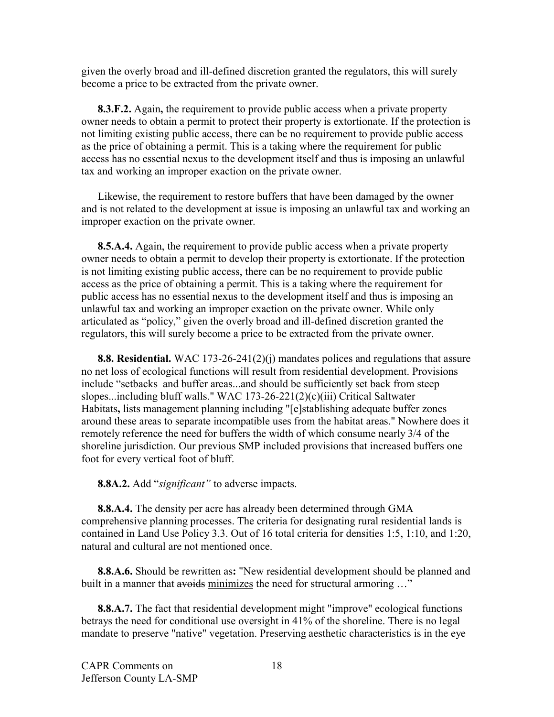given the overly broad and ill-defined discretion granted the regulators, this will surely become a price to be extracted from the private owner.

**8.3.F.2.** Again**,** the requirement to provide public access when a private property owner needs to obtain a permit to protect their property is extortionate. If the protection is not limiting existing public access, there can be no requirement to provide public access as the price of obtaining a permit. This is a taking where the requirement for public access has no essential nexus to the development itself and thus is imposing an unlawful tax and working an improper exaction on the private owner.

Likewise, the requirement to restore buffers that have been damaged by the owner and is not related to the development at issue is imposing an unlawful tax and working an improper exaction on the private owner.

**8.5.A.4.** Again, the requirement to provide public access when a private property owner needs to obtain a permit to develop their property is extortionate. If the protection is not limiting existing public access, there can be no requirement to provide public access as the price of obtaining a permit. This is a taking where the requirement for public access has no essential nexus to the development itself and thus is imposing an unlawful tax and working an improper exaction on the private owner. While only articulated as "policy," given the overly broad and ill-defined discretion granted the regulators, this will surely become a price to be extracted from the private owner.

**8.8. Residential.** WAC 173-26-241(2)(j) mandates polices and regulations that assure no net loss of ecological functions will result from residential development. Provisions include "setbacks and buffer areas...and should be sufficiently set back from steep slopes...including bluff walls." WAC 173-26-221(2)(c)(iii) Critical Saltwater Habitats**,** lists management planning including "[e]stablishing adequate buffer zones around these areas to separate incompatible uses from the habitat areas." Nowhere does it remotely reference the need for buffers the width of which consume nearly 3/4 of the shoreline jurisdiction. Our previous SMP included provisions that increased buffers one foot for every vertical foot of bluff.

**8.8A.2.** Add "*significant"* to adverse impacts.

**8.8.A.4.** The density per acre has already been determined through GMA comprehensive planning processes. The criteria for designating rural residential lands is contained in Land Use Policy 3.3. Out of 16 total criteria for densities 1:5, 1:10, and 1:20, natural and cultural are not mentioned once.

**8.8.A.6.** Should be rewritten as**:** "New residential development should be planned and built in a manner that avoids minimizes the need for structural armoring ..."

**8.8.A.7.** The fact that residential development might "improve" ecological functions betrays the need for conditional use oversight in 41% of the shoreline. There is no legal mandate to preserve "native" vegetation. Preserving aesthetic characteristics is in the eye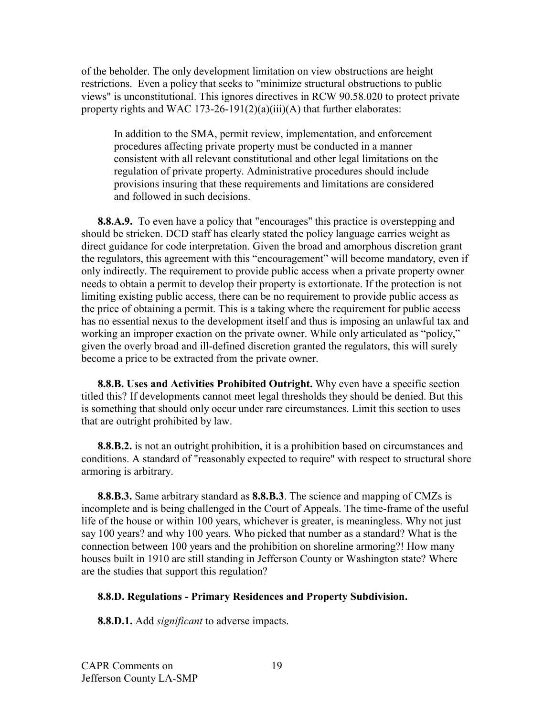of the beholder. The only development limitation on view obstructions are height restrictions. Even a policy that seeks to "minimize structural obstructions to public views" is unconstitutional. This ignores directives in RCW 90.58.020 to protect private property rights and WAC 173-26-191(2)(a)(iii)(A) that further elaborates:

In addition to the SMA, permit review, implementation, and enforcement procedures affecting private property must be conducted in a manner consistent with all relevant constitutional and other legal limitations on the regulation of private property. Administrative procedures should include provisions insuring that these requirements and limitations are considered and followed in such decisions.

**8.8.A.9.** To even have a policy that "encourages" this practice is overstepping and should be stricken. DCD staff has clearly stated the policy language carries weight as direct guidance for code interpretation. Given the broad and amorphous discretion grant the regulators, this agreement with this "encouragement" will become mandatory, even if only indirectly. The requirement to provide public access when a private property owner needs to obtain a permit to develop their property is extortionate. If the protection is not limiting existing public access, there can be no requirement to provide public access as the price of obtaining a permit. This is a taking where the requirement for public access has no essential nexus to the development itself and thus is imposing an unlawful tax and working an improper exaction on the private owner. While only articulated as "policy," given the overly broad and ill-defined discretion granted the regulators, this will surely become a price to be extracted from the private owner.

**8.8.B. Uses and Activities Prohibited Outright.** Why even have a specific section titled this? If developments cannot meet legal thresholds they should be denied. But this is something that should only occur under rare circumstances. Limit this section to uses that are outright prohibited by law.

**8.8.B.2.** is not an outright prohibition, it is a prohibition based on circumstances and conditions. A standard of "reasonably expected to require" with respect to structural shore armoring is arbitrary.

**8.8.B.3.** Same arbitrary standard as **8.8.B.3**. The science and mapping of CMZs is incomplete and is being challenged in the Court of Appeals. The time-frame of the useful life of the house or within 100 years, whichever is greater, is meaningless. Why not just say 100 years? and why 100 years. Who picked that number as a standard? What is the connection between 100 years and the prohibition on shoreline armoring?! How many houses built in 1910 are still standing in Jefferson County or Washington state? Where are the studies that support this regulation?

### **8.8.D. Regulations - Primary Residences and Property Subdivision.**

**8.8.D.1.** Add *significant* to adverse impacts.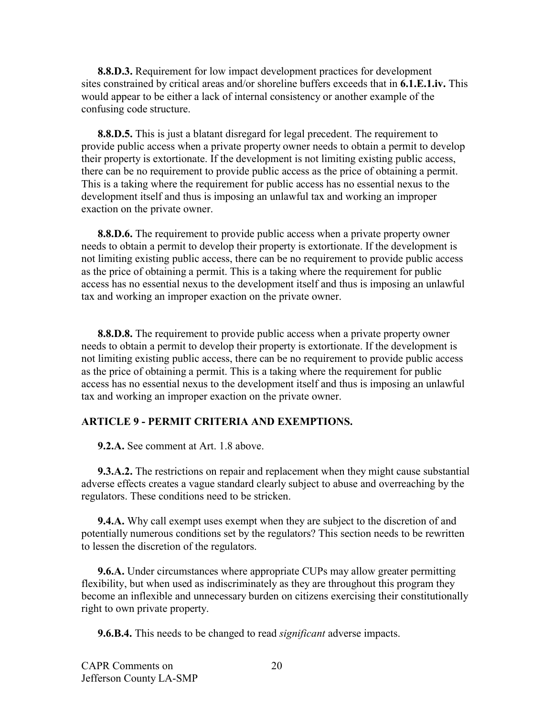**8.8.D.3.** Requirement for low impact development practices for development sites constrained by critical areas and/or shoreline buffers exceeds that in **6.1.E.1.iv.** This would appear to be either a lack of internal consistency or another example of the confusing code structure.

**8.8.D.5.** This is just a blatant disregard for legal precedent. The requirement to provide public access when a private property owner needs to obtain a permit to develop their property is extortionate. If the development is not limiting existing public access, there can be no requirement to provide public access as the price of obtaining a permit. This is a taking where the requirement for public access has no essential nexus to the development itself and thus is imposing an unlawful tax and working an improper exaction on the private owner.

**8.8.D.6.** The requirement to provide public access when a private property owner needs to obtain a permit to develop their property is extortionate. If the development is not limiting existing public access, there can be no requirement to provide public access as the price of obtaining a permit. This is a taking where the requirement for public access has no essential nexus to the development itself and thus is imposing an unlawful tax and working an improper exaction on the private owner.

**8.8.D.8.** The requirement to provide public access when a private property owner needs to obtain a permit to develop their property is extortionate. If the development is not limiting existing public access, there can be no requirement to provide public access as the price of obtaining a permit. This is a taking where the requirement for public access has no essential nexus to the development itself and thus is imposing an unlawful tax and working an improper exaction on the private owner.

### **ARTICLE 9 - PERMIT CRITERIA AND EXEMPTIONS.**

**9.2.A.** See comment at Art. 1.8 above.

**9.3.A.2.** The restrictions on repair and replacement when they might cause substantial adverse effects creates a vague standard clearly subject to abuse and overreaching by the regulators. These conditions need to be stricken.

**9.4.A.** Why call exempt uses exempt when they are subject to the discretion of and potentially numerous conditions set by the regulators? This section needs to be rewritten to lessen the discretion of the regulators.

**9.6.A.** Under circumstances where appropriate CUPs may allow greater permitting flexibility, but when used as indiscriminately as they are throughout this program they become an inflexible and unnecessary burden on citizens exercising their constitutionally right to own private property.

**9.6.B.4.** This needs to be changed to read *significant* adverse impacts.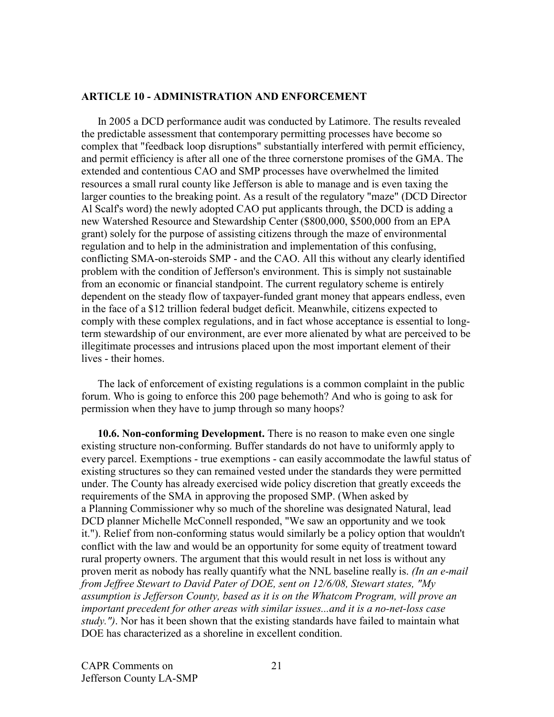#### **ARTICLE 10 - ADMINISTRATION AND ENFORCEMENT**

In 2005 a DCD performance audit was conducted by Latimore. The results revealed the predictable assessment that contemporary permitting processes have become so complex that "feedback loop disruptions" substantially interfered with permit efficiency, and permit efficiency is after all one of the three cornerstone promises of the GMA. The extended and contentious CAO and SMP processes have overwhelmed the limited resources a small rural county like Jefferson is able to manage and is even taxing the larger counties to the breaking point. As a result of the regulatory "maze" (DCD Director Al Scalf's word) the newly adopted CAO put applicants through, the DCD is adding a new Watershed Resource and Stewardship Center (\$800,000, \$500,000 from an EPA grant) solely for the purpose of assisting citizens through the maze of environmental regulation and to help in the administration and implementation of this confusing, conflicting SMA-on-steroids SMP - and the CAO. All this without any clearly identified problem with the condition of Jefferson's environment. This is simply not sustainable from an economic or financial standpoint. The current regulatory scheme is entirely dependent on the steady flow of taxpayer-funded grant money that appears endless, even in the face of a \$12 trillion federal budget deficit. Meanwhile, citizens expected to comply with these complex regulations, and in fact whose acceptance is essential to longterm stewardship of our environment, are ever more alienated by what are perceived to be illegitimate processes and intrusions placed upon the most important element of their lives - their homes.

The lack of enforcement of existing regulations is a common complaint in the public forum. Who is going to enforce this 200 page behemoth? And who is going to ask for permission when they have to jump through so many hoops?

**10.6. Non-conforming Development.** There is no reason to make even one single existing structure non-conforming. Buffer standards do not have to uniformly apply to every parcel. Exemptions - true exemptions - can easily accommodate the lawful status of existing structures so they can remained vested under the standards they were permitted under. The County has already exercised wide policy discretion that greatly exceeds the requirements of the SMA in approving the proposed SMP. (When asked by a Planning Commissioner why so much of the shoreline was designated Natural, lead DCD planner Michelle McConnell responded, "We saw an opportunity and we took it."). Relief from non-conforming status would similarly be a policy option that wouldn't conflict with the law and would be an opportunity for some equity of treatment toward rural property owners. The argument that this would result in net loss is without any proven merit as nobody has really quantify what the NNL baseline really is. *(In an e-mail from Jeffree Stewart to David Pater of DOE, sent on 12/6/08, Stewart states, "My assumption is Jefferson County, based as it is on the Whatcom Program, will prove an important precedent for other areas with similar issues...and it is a no-net-loss case study.")*. Nor has it been shown that the existing standards have failed to maintain what DOE has characterized as a shoreline in excellent condition.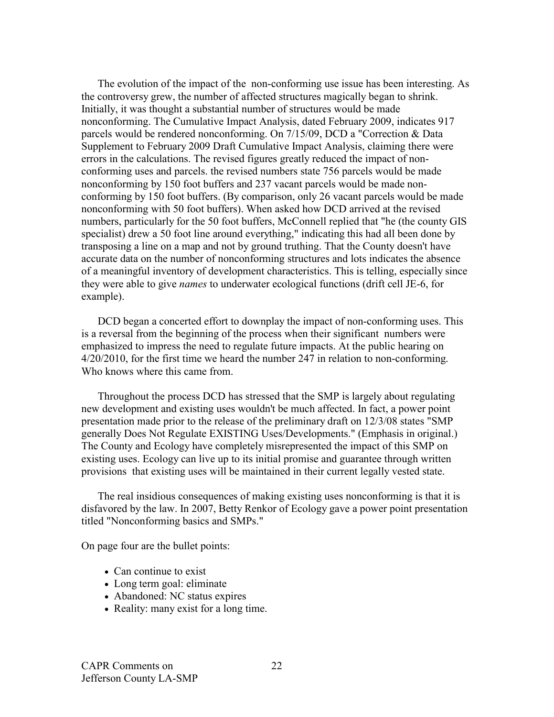The evolution of the impact of the non-conforming use issue has been interesting. As the controversy grew, the number of affected structures magically began to shrink. Initially, it was thought a substantial number of structures would be made nonconforming. The Cumulative Impact Analysis, dated February 2009, indicates 917 parcels would be rendered nonconforming. On 7/15/09, DCD a "Correction & Data Supplement to February 2009 Draft Cumulative Impact Analysis, claiming there were errors in the calculations. The revised figures greatly reduced the impact of nonconforming uses and parcels. the revised numbers state 756 parcels would be made nonconforming by 150 foot buffers and 237 vacant parcels would be made nonconforming by 150 foot buffers. (By comparison, only 26 vacant parcels would be made nonconforming with 50 foot buffers). When asked how DCD arrived at the revised numbers, particularly for the 50 foot buffers, McConnell replied that "he (the county GIS specialist) drew a 50 foot line around everything," indicating this had all been done by transposing a line on a map and not by ground truthing. That the County doesn't have accurate data on the number of nonconforming structures and lots indicates the absence of a meaningful inventory of development characteristics. This is telling, especially since they were able to give *names* to underwater ecological functions (drift cell JE-6, for example).

DCD began a concerted effort to downplay the impact of non-conforming uses. This is a reversal from the beginning of the process when their significant numbers were emphasized to impress the need to regulate future impacts. At the public hearing on 4/20/2010, for the first time we heard the number 247 in relation to non-conforming. Who knows where this came from.

Throughout the process DCD has stressed that the SMP is largely about regulating new development and existing uses wouldn't be much affected. In fact, a power point presentation made prior to the release of the preliminary draft on 12/3/08 states "SMP generally Does Not Regulate EXISTING Uses/Developments." (Emphasis in original.) The County and Ecology have completely misrepresented the impact of this SMP on existing uses. Ecology can live up to its initial promise and guarantee through written provisions that existing uses will be maintained in their current legally vested state.

The real insidious consequences of making existing uses nonconforming is that it is disfavored by the law. In 2007, Betty Renkor of Ecology gave a power point presentation titled "Nonconforming basics and SMPs."

On page four are the bullet points:

- Can continue to exist
- Long term goal: eliminate
- Abandoned: NC status expires
- Reality: many exist for a long time.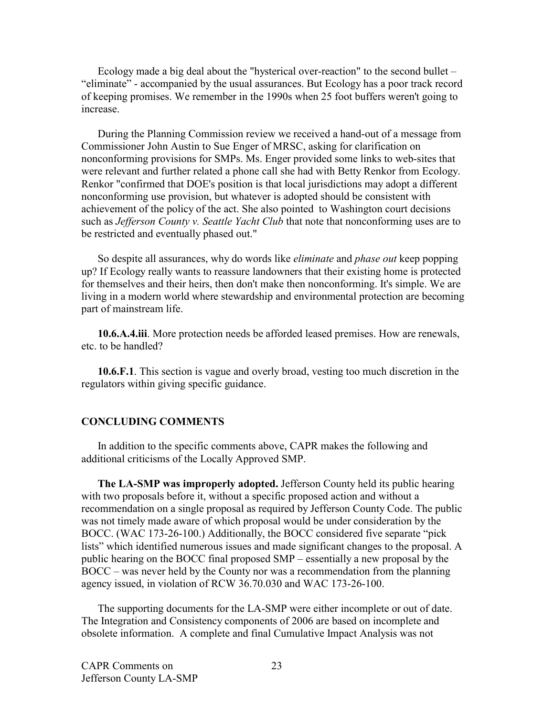Ecology made a big deal about the "hysterical over-reaction" to the second bullet – "eliminate" - accompanied by the usual assurances. But Ecology has a poor track record of keeping promises. We remember in the 1990s when 25 foot buffers weren't going to increase.

During the Planning Commission review we received a hand-out of a message from Commissioner John Austin to Sue Enger of MRSC, asking for clarification on nonconforming provisions for SMPs. Ms. Enger provided some links to web-sites that were relevant and further related a phone call she had with Betty Renkor from Ecology. Renkor "confirmed that DOE's position is that local jurisdictions may adopt a different nonconforming use provision, but whatever is adopted should be consistent with achievement of the policy of the act. She also pointed to Washington court decisions such as *Jefferson County v. Seattle Yacht Club* that note that nonconforming uses are to be restricted and eventually phased out."

So despite all assurances, why do words like *eliminate* and *phase out* keep popping up? If Ecology really wants to reassure landowners that their existing home is protected for themselves and their heirs, then don't make then nonconforming. It's simple. We are living in a modern world where stewardship and environmental protection are becoming part of mainstream life.

**10.6.A.4.iii**. More protection needs be afforded leased premises. How are renewals, etc. to be handled?

**10.6.F.1**. This section is vague and overly broad, vesting too much discretion in the regulators within giving specific guidance.

#### **CONCLUDING COMMENTS**

In addition to the specific comments above, CAPR makes the following and additional criticisms of the Locally Approved SMP.

**The LA-SMP was improperly adopted.** Jefferson County held its public hearing with two proposals before it, without a specific proposed action and without a recommendation on a single proposal as required by Jefferson County Code. The public was not timely made aware of which proposal would be under consideration by the BOCC. (WAC 173-26-100.) Additionally, the BOCC considered five separate "pick lists" which identified numerous issues and made significant changes to the proposal. A public hearing on the BOCC final proposed SMP – essentially a new proposal by the BOCC – was never held by the County nor was a recommendation from the planning agency issued, in violation of RCW 36.70.030 and WAC 173-26-100.

The supporting documents for the LA-SMP were either incomplete or out of date. The Integration and Consistency components of 2006 are based on incomplete and obsolete information. A complete and final Cumulative Impact Analysis was not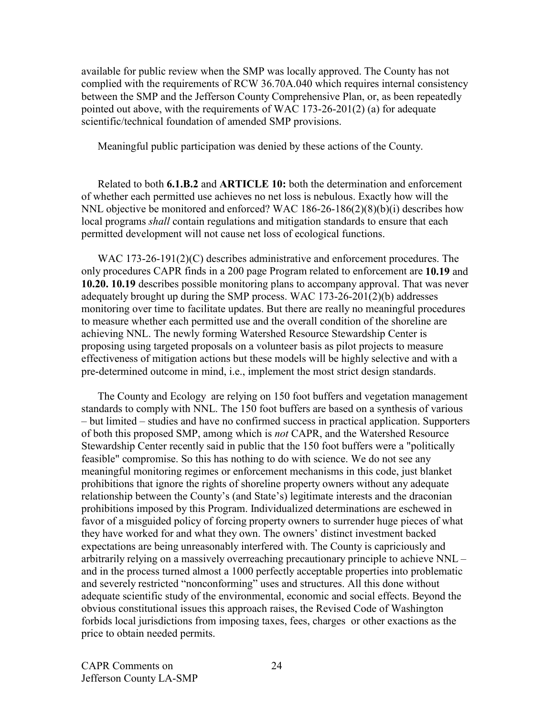available for public review when the SMP was locally approved. The County has not complied with the requirements of RCW 36.70A.040 which requires internal consistency between the SMP and the Jefferson County Comprehensive Plan, or, as been repeatedly pointed out above, with the requirements of WAC 173-26-201(2) (a) for adequate scientific/technical foundation of amended SMP provisions.

Meaningful public participation was denied by these actions of the County.

Related to both **6.1.B.2** and **ARTICLE 10:** both the determination and enforcement of whether each permitted use achieves no net loss is nebulous. Exactly how will the NNL objective be monitored and enforced? WAC 186-26-186(2)(8)(b)(i) describes how local programs *shall* contain regulations and mitigation standards to ensure that each permitted development will not cause net loss of ecological functions.

WAC 173-26-191(2)(C) describes administrative and enforcement procedures. The only procedures CAPR finds in a 200 page Program related to enforcement are **10.19** and **10.20. 10.19** describes possible monitoring plans to accompany approval. That was never adequately brought up during the SMP process. WAC 173-26-201(2)(b) addresses monitoring over time to facilitate updates. But there are really no meaningful procedures to measure whether each permitted use and the overall condition of the shoreline are achieving NNL. The newly forming Watershed Resource Stewardship Center is proposing using targeted proposals on a volunteer basis as pilot projects to measure effectiveness of mitigation actions but these models will be highly selective and with a pre-determined outcome in mind, i.e., implement the most strict design standards.

The County and Ecology are relying on 150 foot buffers and vegetation management standards to comply with NNL. The 150 foot buffers are based on a synthesis of various – but limited – studies and have no confirmed success in practical application. Supporters of both this proposed SMP, among which is *not* CAPR, and the Watershed Resource Stewardship Center recently said in public that the 150 foot buffers were a "politically feasible" compromise. So this has nothing to do with science. We do not see any meaningful monitoring regimes or enforcement mechanisms in this code, just blanket prohibitions that ignore the rights of shoreline property owners without any adequate relationship between the County's (and State's) legitimate interests and the draconian prohibitions imposed by this Program. Individualized determinations are eschewed in favor of a misguided policy of forcing property owners to surrender huge pieces of what they have worked for and what they own. The owners' distinct investment backed expectations are being unreasonably interfered with. The County is capriciously and arbitrarily relying on a massively overreaching precautionary principle to achieve NNL – and in the process turned almost a 1000 perfectly acceptable properties into problematic and severely restricted "nonconforming" uses and structures. All this done without adequate scientific study of the environmental, economic and social effects. Beyond the obvious constitutional issues this approach raises, the Revised Code of Washington forbids local jurisdictions from imposing taxes, fees, charges or other exactions as the price to obtain needed permits.